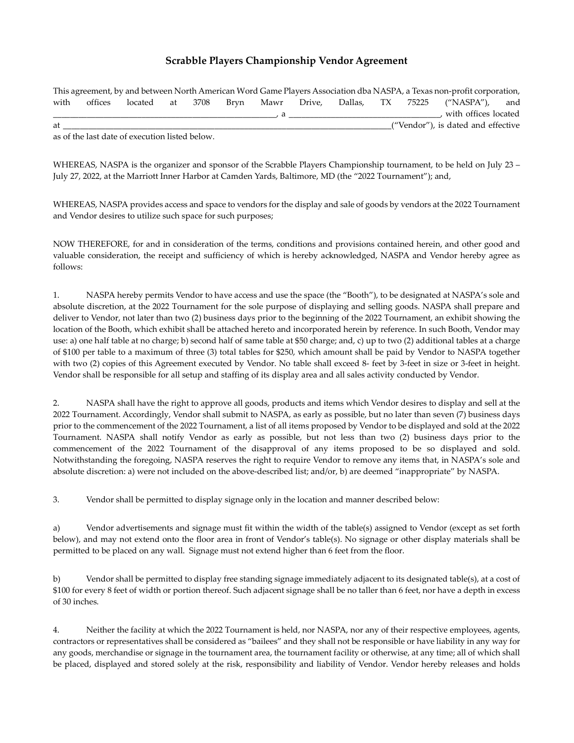## Scrabble Players Championship Vendor Agreement

|      |  |  |  |  |  |  |                      |  |  | This agreement, by and between North American Word Game Players Association dba NASPA, a Texas non-profit corporation, |  |  |
|------|--|--|--|--|--|--|----------------------|--|--|------------------------------------------------------------------------------------------------------------------------|--|--|
| with |  |  |  |  |  |  |                      |  |  | offices located at 3708 Bryn Mawr Drive, Dallas, TX 75225 ("NASPA"), and                                               |  |  |
|      |  |  |  |  |  |  | with offices located |  |  |                                                                                                                        |  |  |
| at   |  |  |  |  |  |  |                      |  |  | ("Vendor"), is dated and effective                                                                                     |  |  |

as of the last date of execution listed below.

WHEREAS, NASPA is the organizer and sponsor of the Scrabble Players Championship tournament, to be held on July 23 – July 27, 2022, at the Marriott Inner Harbor at Camden Yards, Baltimore, MD (the "2022 Tournament"); and,

WHEREAS, NASPA provides access and space to vendors for the display and sale of goods by vendors at the 2022 Tournament and Vendor desires to utilize such space for such purposes;

NOW THEREFORE, for and in consideration of the terms, conditions and provisions contained herein, and other good and valuable consideration, the receipt and sufficiency of which is hereby acknowledged, NASPA and Vendor hereby agree as follows:

1. NASPA hereby permits Vendor to have access and use the space (the "Booth"), to be designated at NASPA's sole and absolute discretion, at the 2022 Tournament for the sole purpose of displaying and selling goods. NASPA shall prepare and deliver to Vendor, not later than two (2) business days prior to the beginning of the 2022 Tournament, an exhibit showing the location of the Booth, which exhibit shall be attached hereto and incorporated herein by reference. In such Booth, Vendor may use: a) one half table at no charge; b) second half of same table at \$50 charge; and, c) up to two (2) additional tables at a charge of \$100 per table to a maximum of three (3) total tables for \$250, which amount shall be paid by Vendor to NASPA together with two (2) copies of this Agreement executed by Vendor. No table shall exceed 8- feet by 3-feet in size or 3-feet in height. Vendor shall be responsible for all setup and staffing of its display area and all sales activity conducted by Vendor.

2. NASPA shall have the right to approve all goods, products and items which Vendor desires to display and sell at the 2022 Tournament. Accordingly, Vendor shall submit to NASPA, as early as possible, but no later than seven (7) business days prior to the commencement of the 2022 Tournament, a list of all items proposed by Vendor to be displayed and sold at the 2022 Tournament. NASPA shall notify Vendor as early as possible, but not less than two (2) business days prior to the commencement of the 2022 Tournament of the disapproval of any items proposed to be so displayed and sold. Notwithstanding the foregoing, NASPA reserves the right to require Vendor to remove any items that, in NASPA's sole and absolute discretion: a) were not included on the above-described list; and/or, b) are deemed "inappropriate" by NASPA.

3. Vendor shall be permitted to display signage only in the location and manner described below:

a) Vendor advertisements and signage must fit within the width of the table(s) assigned to Vendor (except as set forth below), and may not extend onto the floor area in front of Vendor's table(s). No signage or other display materials shall be permitted to be placed on any wall. Signage must not extend higher than 6 feet from the floor.

b) Vendor shall be permitted to display free standing signage immediately adjacent to its designated table(s), at a cost of \$100 for every 8 feet of width or portion thereof. Such adjacent signage shall be no taller than 6 feet, nor have a depth in excess of 30 inches.

4. Neither the facility at which the 2022 Tournament is held, nor NASPA, nor any of their respective employees, agents, contractors or representatives shall be considered as "bailees" and they shall not be responsible or have liability in any way for any goods, merchandise or signage in the tournament area, the tournament facility or otherwise, at any time; all of which shall be placed, displayed and stored solely at the risk, responsibility and liability of Vendor. Vendor hereby releases and holds